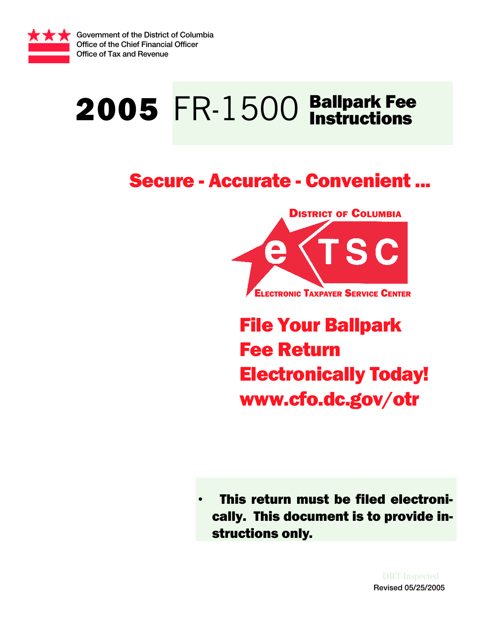

Government of the District of Columbia Office of the Chief Financial Officer Office of Tax and Revenue

# 2005 FR-1500 Ballpark Fee

# Secure - Accurate - Convenient ...



File Your Ballpark Fee Return Electronically Today! www.cfo.dc.gov/otr

• This return must be filed electronically. This document is to provide instructions only.

> Revised 05/25/2005 DRT Inspected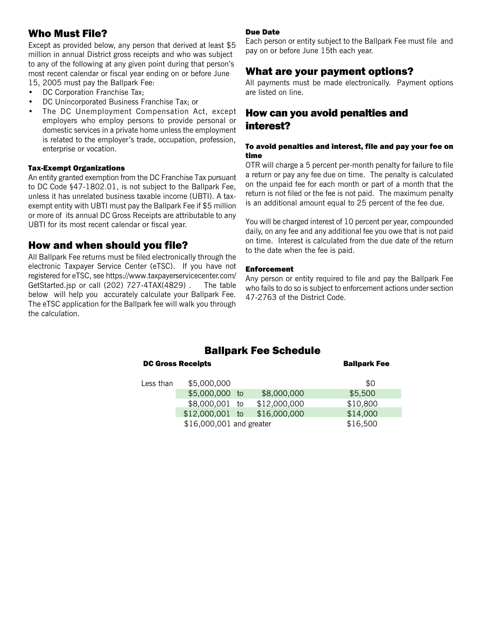# Who Must File?

Except as provided below, any person that derived at least \$5 million in annual District gross receipts and who was subject to any of the following at any given point during that person's most recent calendar or fiscal year ending on or before June 15, 2005 must pay the Ballpark Fee:

- DC Corporation Franchise Tax;
- DC Unincorporated Business Franchise Tax; or
- The DC Unemployment Compensation Act, except employers who employ persons to provide personal or domestic services in a private home unless the employment is related to the employer's trade, occupation, profession, enterprise or vocation.

#### Tax-Exempt Organizations

An entity granted exemption from the DC Franchise Tax pursuant to DC Code §47-1802.01, is not subject to the Ballpark Fee, unless it has unrelated business taxable income (UBTI). A taxexempt entity with UBTI must pay the Ballpark Fee if \$5 million or more of its annual DC Gross Receipts are attributable to any UBTI for its most recent calendar or fiscal year.

### How and when should you file?

All Ballpark Fee returns must be filed electronically through the electronic Taxpayer Service Center (eTSC). If you have not registered for eTSC, see https://www.taxpayerservicecenter.com/ GetStarted.jsp or call (202) 727-4TAX(4829) . The table below will help you accurately calculate your Ballpark Fee. The eTSC application for the Ballpark fee will walk you through the calculation.

#### Due Date

Each person or entity subject to the Ballpark Fee must file and pay on or before June 15th each year.

## What are your payment options?

All payments must be made electronically. Payment options are listed on line.

# How can you avoid penalties and interest?

#### To avoid penalties and interest, file and pay your fee on time

OTR will charge a 5 percent per-month penalty for failure to file a return or pay any fee due on time. The penalty is calculated on the unpaid fee for each month or part of a month that the return is not filed or the fee is not paid. The maximum penalty is an additional amount equal to 25 percent of the fee due.

You will be charged interest of 10 percent per year, compounded daily, on any fee and any additional fee you owe that is not paid on time. Interest is calculated from the due date of the return to the date when the fee is paid.

#### Enforcement

Any person or entity required to file and pay the Ballpark Fee who fails to do so is subject to enforcement actions under section 47-2763 of the District Code.

# Ballpark Fee Schedule

|           | <b>DC Gross Receipts</b> |  |              | <b>Ballpark Fee</b> |
|-----------|--------------------------|--|--------------|---------------------|
| Less than | \$5,000,000              |  |              | \$0                 |
|           | \$5,000,000 to           |  | \$8,000,000  | \$5,500             |
|           | \$8,000,001 to           |  | \$12,000,000 | \$10,800            |
|           | $$12,000,001$ to         |  | \$16,000,000 | \$14,000            |
|           | \$16,000,001 and greater |  |              |                     |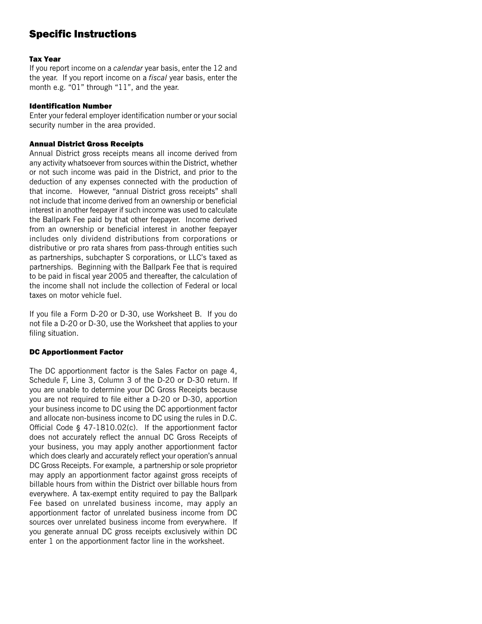# Specific Instructions

#### Tax Year

If you report income on a *calendar* year basis, enter the 12 and the year. If you report income on a *fiscal* year basis, enter the month e.g. "01" through "11", and the year.

#### Identification Number

Enter your federal employer identification number or your social security number in the area provided.

#### Annual District Gross Receipts

Annual District gross receipts means all income derived from any activity whatsoever from sources within the District, whether or not such income was paid in the District, and prior to the deduction of any expenses connected with the production of that income. However, "annual District gross receipts" shall not include that income derived from an ownership or beneficial interest in another feepayer if such income was used to calculate the Ballpark Fee paid by that other feepayer. Income derived from an ownership or beneficial interest in another feepayer includes only dividend distributions from corporations or distributive or pro rata shares from pass-through entities such as partnerships, subchapter S corporations, or LLC's taxed as partnerships. Beginning with the Ballpark Fee that is required to be paid in fiscal year 2005 and thereafter, the calculation of the income shall not include the collection of Federal or local taxes on motor vehicle fuel.

If you file a Form D-20 or D-30, use Worksheet B. If you do not file a D-20 or D-30, use the Worksheet that applies to your filing situation.

#### DC Apportionment Factor

The DC apportionment factor is the Sales Factor on page 4, Schedule F, Line 3, Column 3 of the D-20 or D-30 return. If you are unable to determine your DC Gross Receipts because you are not required to file either a D-20 or D-30, apportion your business income to DC using the DC apportionment factor and allocate non-business income to DC using the rules in D.C. Official Code § 47-1810.02(c). If the apportionment factor does not accurately reflect the annual DC Gross Receipts of your business, you may apply another apportionment factor which does clearly and accurately reflect your operation's annual DC Gross Receipts. For example, a partnership or sole proprietor may apply an apportionment factor against gross receipts of billable hours from within the District over billable hours from everywhere. A tax-exempt entity required to pay the Ballpark Fee based on unrelated business income, may apply an apportionment factor of unrelated business income from DC sources over unrelated business income from everywhere. If you generate annual DC gross receipts exclusively within DC enter 1 on the apportionment factor line in the worksheet.